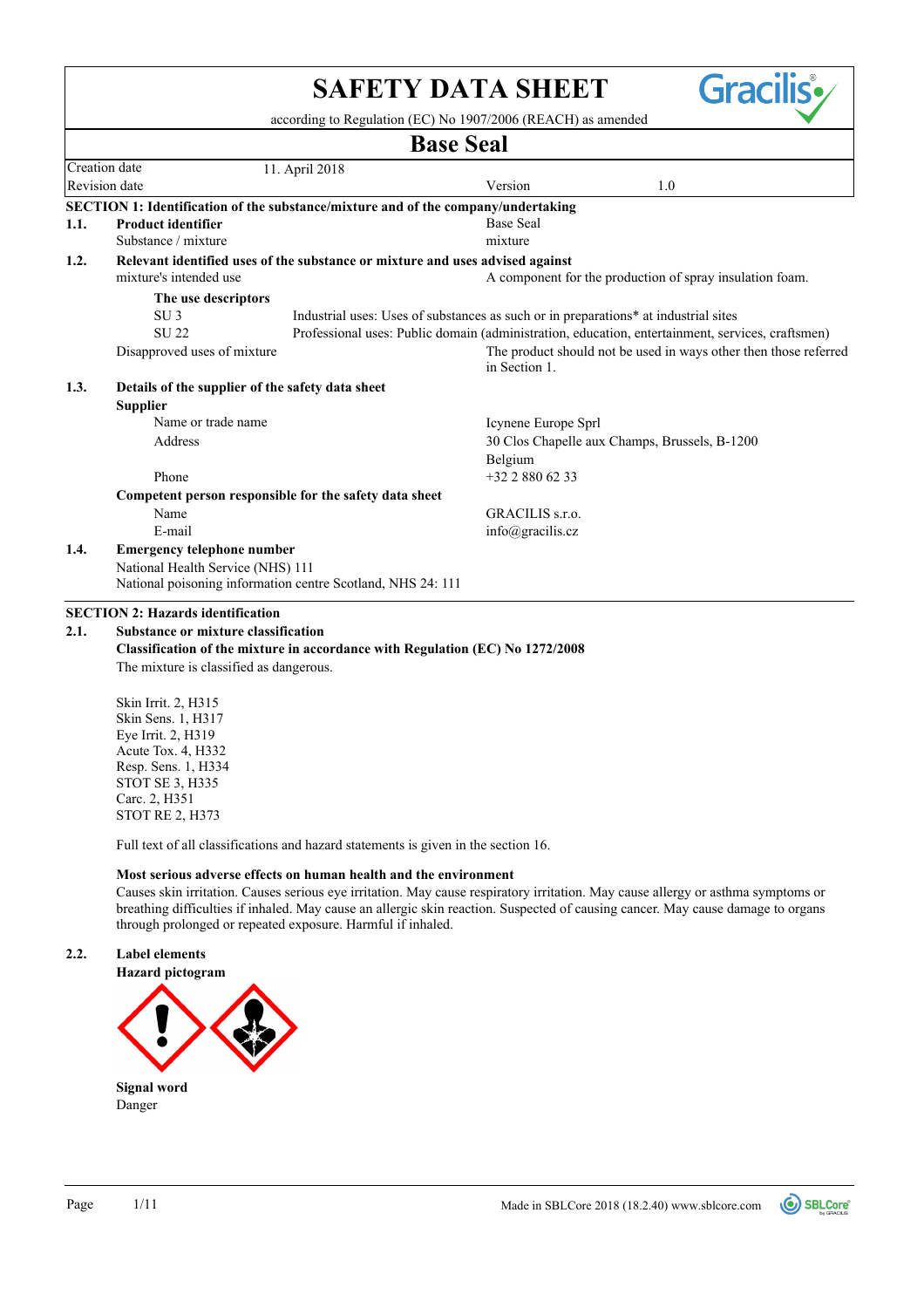|      |                                                                                                         | <b>SAFETY DATA SHEET</b><br>according to Regulation (EC) No 1907/2006 (REACH) as amended         | Gracilis•                                                        |
|------|---------------------------------------------------------------------------------------------------------|--------------------------------------------------------------------------------------------------|------------------------------------------------------------------|
|      |                                                                                                         | <b>Base Seal</b>                                                                                 |                                                                  |
|      | Creation date<br>11. April 2018                                                                         |                                                                                                  |                                                                  |
|      | Revision date                                                                                           | Version                                                                                          | 1.0                                                              |
|      | SECTION 1: Identification of the substance/mixture and of the company/undertaking                       |                                                                                                  |                                                                  |
| 1.1. | <b>Product identifier</b>                                                                               | <b>Base Seal</b>                                                                                 |                                                                  |
|      | Substance / mixture                                                                                     | mixture                                                                                          |                                                                  |
| 1.2. | Relevant identified uses of the substance or mixture and uses advised against<br>mixture's intended use |                                                                                                  | A component for the production of spray insulation foam.         |
|      | The use descriptors                                                                                     |                                                                                                  |                                                                  |
|      | SU <sub>3</sub>                                                                                         | Industrial uses: Uses of substances as such or in preparations* at industrial sites              |                                                                  |
|      | <b>SU22</b>                                                                                             | Professional uses: Public domain (administration, education, entertainment, services, craftsmen) |                                                                  |
|      | Disapproved uses of mixture                                                                             | in Section 1.                                                                                    | The product should not be used in ways other then those referred |
| 1.3. | Details of the supplier of the safety data sheet                                                        |                                                                                                  |                                                                  |
|      | <b>Supplier</b>                                                                                         |                                                                                                  |                                                                  |
|      | Name or trade name                                                                                      | Icynene Europe Sprl                                                                              |                                                                  |
|      | Address                                                                                                 | 30 Clos Chapelle aux Champs, Brussels, B-1200                                                    |                                                                  |
|      |                                                                                                         | Belgium                                                                                          |                                                                  |
|      | Phone                                                                                                   | $+3228806233$                                                                                    |                                                                  |
|      | Competent person responsible for the safety data sheet                                                  |                                                                                                  |                                                                  |
|      | Name                                                                                                    | GRACILIS s.r.o.                                                                                  |                                                                  |
|      | E-mail                                                                                                  | $info(\omega)$ gracilis.cz                                                                       |                                                                  |
| 1.4. | <b>Emergency telephone number</b>                                                                       |                                                                                                  |                                                                  |
|      | National Health Service (NHS) 111                                                                       |                                                                                                  |                                                                  |
|      | National poisoning information centre Scotland, NHS 24: 111                                             |                                                                                                  |                                                                  |
|      | <b>SECTION 2: Hazards identification</b>                                                                |                                                                                                  |                                                                  |
| 2.1. | <b>Substance or mixture classification</b>                                                              |                                                                                                  |                                                                  |
|      | Classification of the mixture in accordance with Regulation (EC) No 1272/2008                           |                                                                                                  |                                                                  |
|      | The mixture is classified as dangerous.                                                                 |                                                                                                  |                                                                  |
|      | Skin Irrit. 2, H315                                                                                     |                                                                                                  |                                                                  |
|      | Skin Sens. 1, H317                                                                                      |                                                                                                  |                                                                  |
|      | Eye Irrit. 2, H319<br>Acute Tox. 4, H332                                                                |                                                                                                  |                                                                  |
|      | Resp. Sens. 1, H334                                                                                     |                                                                                                  |                                                                  |
|      | <b>STOT SE 3, H335</b>                                                                                  |                                                                                                  |                                                                  |
|      | Carc. 2, H351                                                                                           |                                                                                                  |                                                                  |
|      | <b>STOT RE 2, H373</b>                                                                                  |                                                                                                  |                                                                  |
|      | Full text of all classifications and hazard statements is given in the section 16.                      |                                                                                                  |                                                                  |
|      | Maataantana silanaan nGrate oo kooxaa kaaltkaani tka amatoonaan oo t                                    |                                                                                                  |                                                                  |

**Most serious adverse effects on human health and the environment**

Causes skin irritation. Causes serious eye irritation. May cause respiratory irritation. May cause allergy or asthma symptoms or breathing difficulties if inhaled. May cause an allergic skin reaction. Suspected of causing cancer. May cause damage to organs through prolonged or repeated exposure. Harmful if inhaled.

## **2.2. Label elements**



Danger **Signal word**

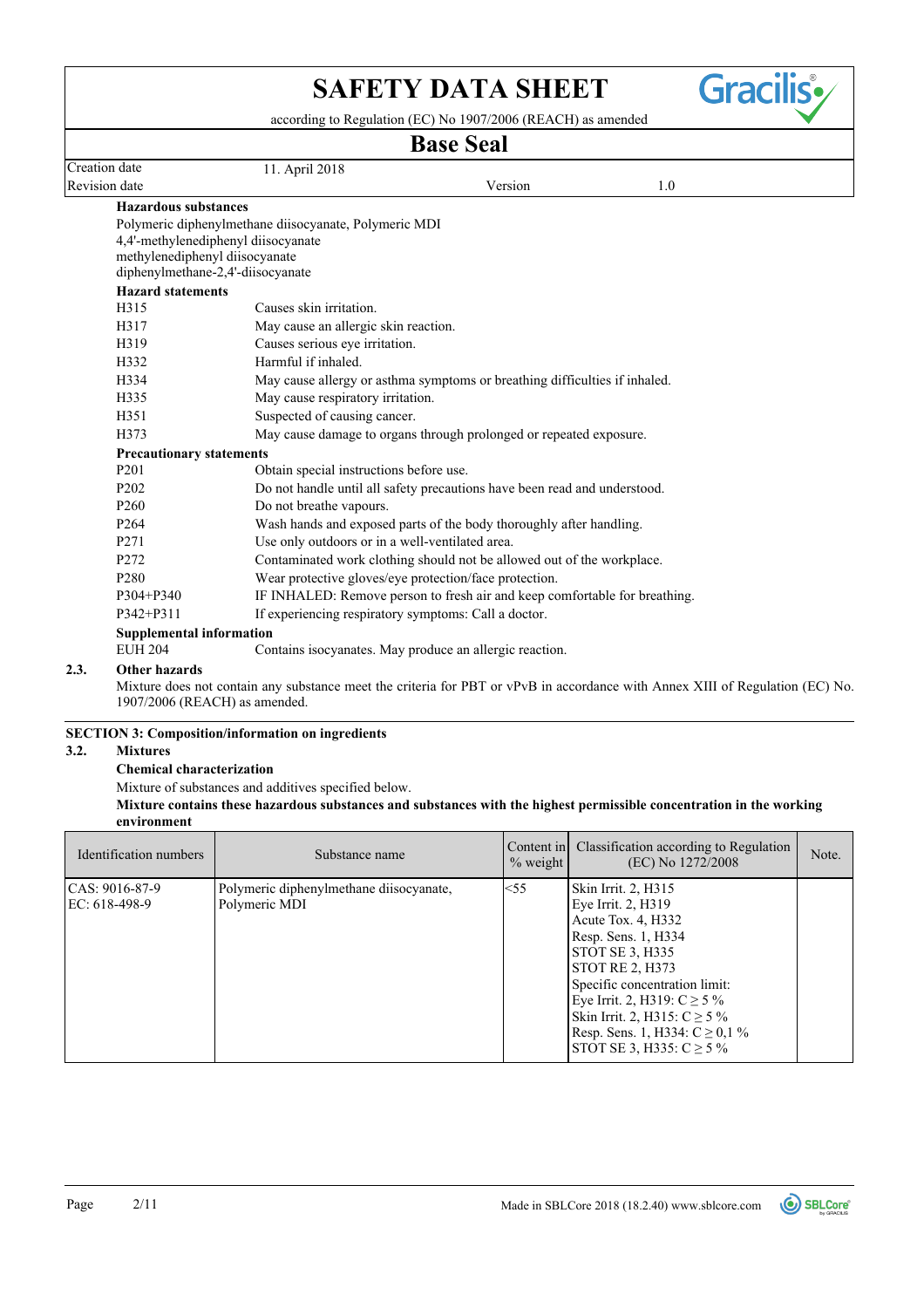

according to Regulation (EC) No 1907/2006 (REACH) as amended

# **Base Seal**

|                                 |                                                                            | Dasc Ocal |     |  |
|---------------------------------|----------------------------------------------------------------------------|-----------|-----|--|
| Creation date                   | 11. April 2018                                                             |           |     |  |
| Revision date                   |                                                                            | Version   | 1.0 |  |
| <b>Hazardous substances</b>     |                                                                            |           |     |  |
|                                 | Polymeric diphenylmethane diisocyanate, Polymeric MDI                      |           |     |  |
|                                 | 4,4'-methylenediphenyl diisocyanate                                        |           |     |  |
|                                 | methylenediphenyl diisocyanate                                             |           |     |  |
|                                 | diphenylmethane-2,4'-diisocyanate                                          |           |     |  |
| <b>Hazard statements</b>        |                                                                            |           |     |  |
| H315                            | Causes skin irritation.                                                    |           |     |  |
| H317                            | May cause an allergic skin reaction.                                       |           |     |  |
| H319                            | Causes serious eye irritation.                                             |           |     |  |
| H332                            | Harmful if inhaled.                                                        |           |     |  |
| H334                            | May cause allergy or asthma symptoms or breathing difficulties if inhaled. |           |     |  |
| H335                            | May cause respiratory irritation.                                          |           |     |  |
| H351                            | Suspected of causing cancer.                                               |           |     |  |
| H373                            | May cause damage to organs through prolonged or repeated exposure.         |           |     |  |
| <b>Precautionary statements</b> |                                                                            |           |     |  |
| P <sub>201</sub>                | Obtain special instructions before use.                                    |           |     |  |
| P <sub>202</sub>                | Do not handle until all safety precautions have been read and understood.  |           |     |  |
| P <sub>260</sub>                | Do not breathe vapours.                                                    |           |     |  |
| P <sub>264</sub>                | Wash hands and exposed parts of the body thoroughly after handling.        |           |     |  |
| P <sub>271</sub>                | Use only outdoors or in a well-ventilated area.                            |           |     |  |
| P <sub>272</sub>                | Contaminated work clothing should not be allowed out of the workplace.     |           |     |  |
| P <sub>280</sub>                | Wear protective gloves/eye protection/face protection.                     |           |     |  |
| P304+P340                       | IF INHALED: Remove person to fresh air and keep comfortable for breathing. |           |     |  |
| P342+P311                       | If experiencing respiratory symptoms: Call a doctor.                       |           |     |  |
| <b>Supplemental information</b> |                                                                            |           |     |  |
| <b>EUH 204</b>                  | Contains isocyanates. May produce an allergic reaction.                    |           |     |  |
| 2.3.<br>Other hazards           |                                                                            |           |     |  |

Mixture does not contain any substance meet the criteria for PBT or vPvB in accordance with Annex XIII of Regulation (EC) No. 1907/2006 (REACH) as amended.

## **SECTION 3: Composition/information on ingredients**

## **3.2. Mixtures**

## **Chemical characterization**

Mixture of substances and additives specified below.

## **Mixture contains these hazardous substances and substances with the highest permissible concentration in the working environment**

| Identification numbers          | Substance name                                           | Content in<br>$%$ weight | Classification according to Regulation<br>(EC) No 1272/2008                                                                                                                                                                                                                                                               | Note. |
|---------------------------------|----------------------------------------------------------|--------------------------|---------------------------------------------------------------------------------------------------------------------------------------------------------------------------------------------------------------------------------------------------------------------------------------------------------------------------|-------|
| CAS: 9016-87-9<br>EC: 618-498-9 | Polymeric diphenylmethane diisocyanate,<br>Polymeric MDI | $<$ 55                   | Skin Irrit. 2, H315<br>Eye Irrit. 2, H319<br>Acute Tox. 4, H332<br>Resp. Sens. 1, H334<br><b>STOT SE 3, H335</b><br><b>STOT RE 2, H373</b><br>Specific concentration limit:<br>Eye Irrit. 2, H319: $C \ge 5\%$<br>Skin Irrit. 2, H315: $C \ge 5\%$<br>Resp. Sens. 1, H334: $C \ge 0, 1\%$<br>STOT SE 3, H335: $C \ge 5\%$ |       |

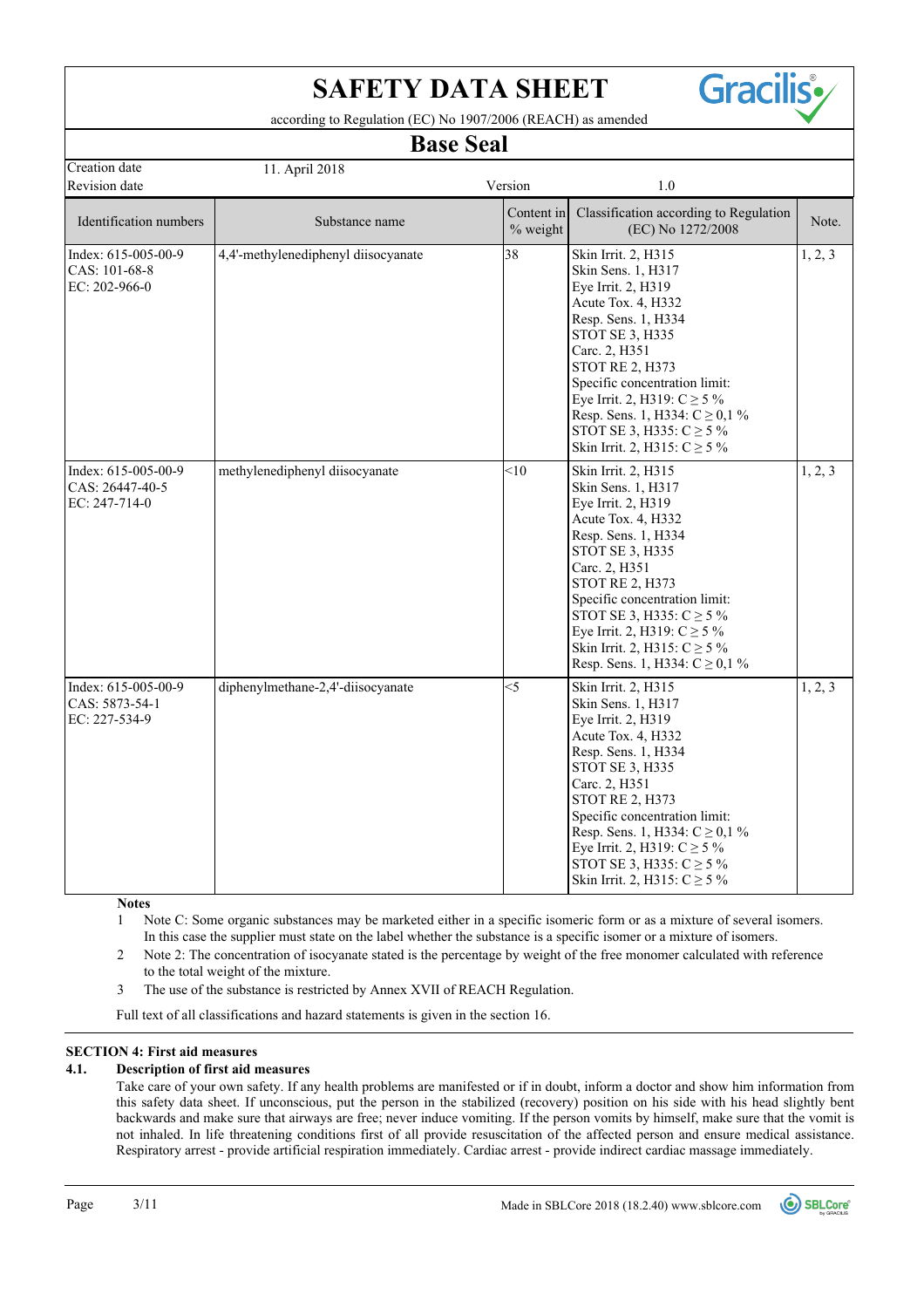

according to Regulation (EC) No 1907/2006 (REACH) as amended

## **Base Seal**

| Creation date                                             | 11. April 2018                      |                        |                                                                                                                                                                                                                                                                                                                                                           |         |
|-----------------------------------------------------------|-------------------------------------|------------------------|-----------------------------------------------------------------------------------------------------------------------------------------------------------------------------------------------------------------------------------------------------------------------------------------------------------------------------------------------------------|---------|
| Revision date                                             |                                     | Version                | 1.0                                                                                                                                                                                                                                                                                                                                                       |         |
| Identification numbers                                    | Substance name                      | Content in<br>% weight | Classification according to Regulation<br>(EC) No 1272/2008                                                                                                                                                                                                                                                                                               | Note.   |
| Index: 615-005-00-9<br>CAS: 101-68-8<br>EC: 202-966-0     | 4,4'-methylenediphenyl diisocyanate | 38                     | Skin Irrit. 2, H315<br>Skin Sens. 1, H317<br>Eye Irrit. 2, H319<br>Acute Tox. 4, H332<br>Resp. Sens. 1, H334<br>STOT SE 3, H335<br>Carc. 2, H351<br><b>STOT RE 2, H373</b><br>Specific concentration limit:<br>Eye Irrit. 2, H319: $C \ge 5\%$<br>Resp. Sens. 1, H334: $C \ge 0, 1\%$<br>STOT SE 3, H335: $C \ge 5\%$<br>Skin Irrit. 2, H315: $C \ge 5\%$ | 1, 2, 3 |
| Index: 615-005-00-9<br>CAS: 26447-40-5<br>EC: $247-714-0$ | methylenediphenyl diisocyanate      | < 10                   | Skin Irrit. 2, H315<br>Skin Sens. 1, H317<br>Eye Irrit. 2, H319<br>Acute Tox. 4, H332<br>Resp. Sens. 1, H334<br>STOT SE 3, H335<br>Carc. 2, H351<br><b>STOT RE 2, H373</b><br>Specific concentration limit:<br>STOT SE 3, H335: $C \ge 5\%$<br>Eye Irrit. 2, H319: $C \ge 5\%$<br>Skin Irrit. 2, H315: $C \ge 5\%$<br>Resp. Sens. 1, H334: $C \ge 0, 1\%$ | 1, 2, 3 |
| Index: 615-005-00-9<br>CAS: 5873-54-1<br>EC: 227-534-9    | diphenylmethane-2,4'-diisocyanate   | $\leq$ 5               | Skin Irrit. 2, H315<br>Skin Sens. 1, H317<br>Eye Irrit. 2, H319<br>Acute Tox. 4, H332<br>Resp. Sens. 1, H334<br>STOT SE 3, H335<br>Carc. 2, H351<br><b>STOT RE 2, H373</b><br>Specific concentration limit:<br>Resp. Sens. 1, H334: $C \ge 0, 1\%$<br>Eye Irrit. 2, H319: $C \ge 5\%$<br>STOT SE 3, H335: $C \ge 5\%$<br>Skin Irrit. 2, H315: $C \ge 5\%$ | 1, 2, 3 |

**Notes**

Note C: Some organic substances may be marketed either in a specific isomeric form or as a mixture of several isomers. In this case the supplier must state on the label whether the substance is a specific isomer or a mixture of isomers. 1

Note 2: The concentration of isocyanate stated is the percentage by weight of the free monomer calculated with reference to the total weight of the mixture. 2

3 The use of the substance is restricted by Annex XVII of REACH Regulation.

Full text of all classifications and hazard statements is given in the section 16.

## **SECTION 4: First aid measures**

## **4.1. Description of first aid measures**

Take care of your own safety. If any health problems are manifested or if in doubt, inform a doctor and show him information from this safety data sheet. If unconscious, put the person in the stabilized (recovery) position on his side with his head slightly bent backwards and make sure that airways are free; never induce vomiting. If the person vomits by himself, make sure that the vomit is not inhaled. In life threatening conditions first of all provide resuscitation of the affected person and ensure medical assistance. Respiratory arrest - provide artificial respiration immediately. Cardiac arrest - provide indirect cardiac massage immediately.

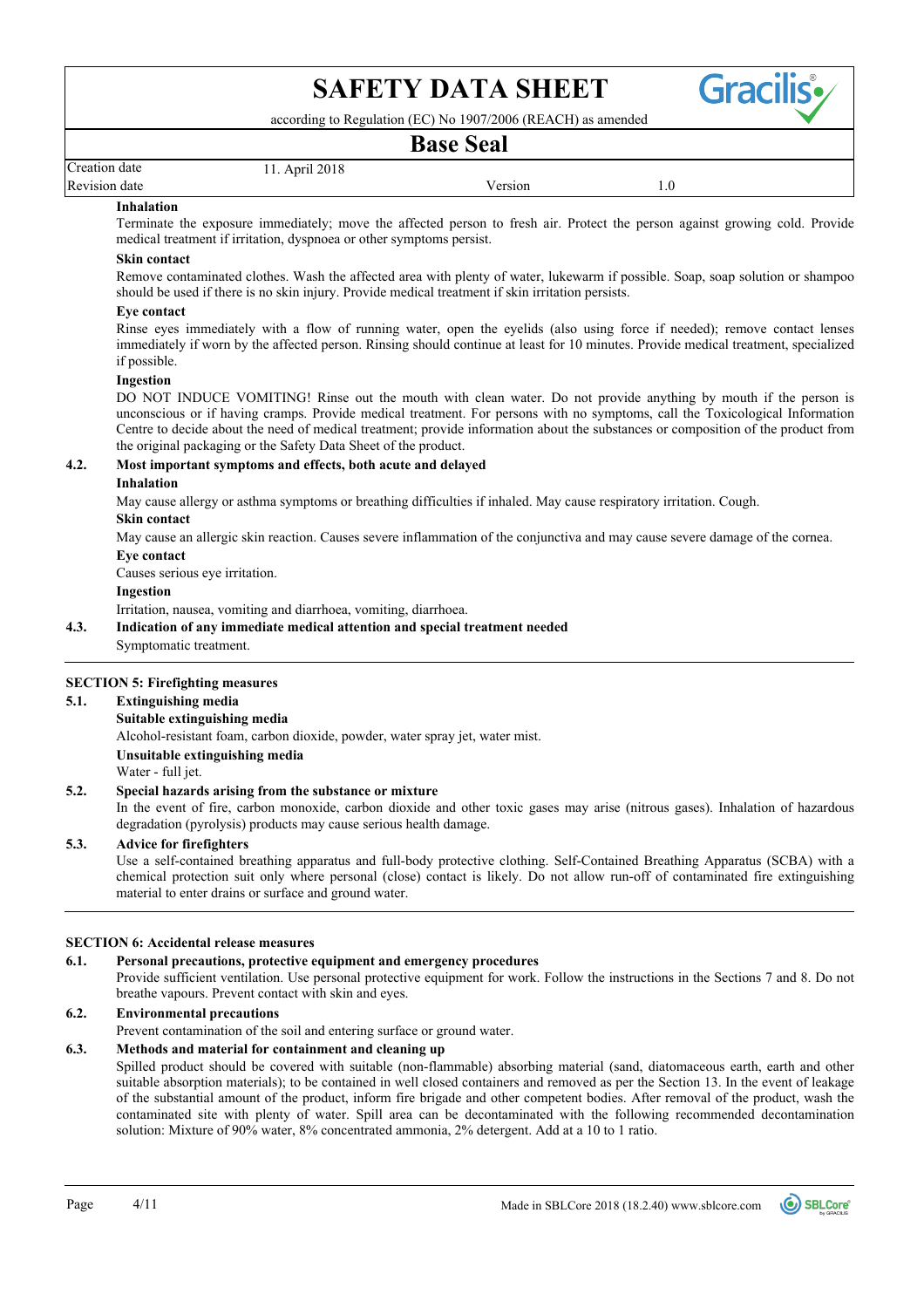

according to Regulation (EC) No 1907/2006 (REACH) as amended

## **Base Seal**

| Creat<br>date    | 2010 |                   |     |
|------------------|------|-------------------|-----|
| Revision<br>date |      | ersion<br>------- | 1.0 |

#### **Inhalation**

Terminate the exposure immediately; move the affected person to fresh air. Protect the person against growing cold. Provide medical treatment if irritation, dyspnoea or other symptoms persist.

## **Skin contact**

Remove contaminated clothes. Wash the affected area with plenty of water, lukewarm if possible. Soap, soap solution or shampoo should be used if there is no skin injury. Provide medical treatment if skin irritation persists.

#### **Eye contact**

Rinse eyes immediately with a flow of running water, open the eyelids (also using force if needed); remove contact lenses immediately if worn by the affected person. Rinsing should continue at least for 10 minutes. Provide medical treatment, specialized if possible.

## **Ingestion**

DO NOT INDUCE VOMITING! Rinse out the mouth with clean water. Do not provide anything by mouth if the person is unconscious or if having cramps. Provide medical treatment. For persons with no symptoms, call the Toxicological Information Centre to decide about the need of medical treatment; provide information about the substances or composition of the product from the original packaging or the Safety Data Sheet of the product.

## **4.2. Most important symptoms and effects, both acute and delayed**

## **Inhalation**

May cause allergy or asthma symptoms or breathing difficulties if inhaled. May cause respiratory irritation. Cough.

## **Skin contact**

May cause an allergic skin reaction. Causes severe inflammation of the conjunctiva and may cause severe damage of the cornea.

## **Eye contact**

Causes serious eye irritation.

#### **Ingestion**

Irritation, nausea, vomiting and diarrhoea, vomiting, diarrhoea.

## **4.3. Indication of any immediate medical attention and special treatment needed**

Symptomatic treatment.

## **SECTION 5: Firefighting measures**

## **5.1. Extinguishing media**

Alcohol-resistant foam, carbon dioxide, powder, water spray jet, water mist. **Suitable extinguishing media**

**Unsuitable extinguishing media**

Water - full jet.

## **5.2. Special hazards arising from the substance or mixture**

In the event of fire, carbon monoxide, carbon dioxide and other toxic gases may arise (nitrous gases). Inhalation of hazardous degradation (pyrolysis) products may cause serious health damage.

## **5.3. Advice for firefighters**

Use a self-contained breathing apparatus and full-body protective clothing. Self-Contained Breathing Apparatus (SCBA) with a chemical protection suit only where personal (close) contact is likely. Do not allow run-off of contaminated fire extinguishing material to enter drains or surface and ground water.

## **SECTION 6: Accidental release measures**

## **6.1. Personal precautions, protective equipment and emergency procedures**

Provide sufficient ventilation. Use personal protective equipment for work. Follow the instructions in the Sections 7 and 8. Do not breathe vapours. Prevent contact with skin and eyes.

## **6.2. Environmental precautions**

Prevent contamination of the soil and entering surface or ground water.

## **6.3. Methods and material for containment and cleaning up**

Spilled product should be covered with suitable (non-flammable) absorbing material (sand, diatomaceous earth, earth and other suitable absorption materials); to be contained in well closed containers and removed as per the Section 13. In the event of leakage of the substantial amount of the product, inform fire brigade and other competent bodies. After removal of the product, wash the contaminated site with plenty of water. Spill area can be decontaminated with the following recommended decontamination solution: Mixture of 90% water, 8% concentrated ammonia, 2% detergent. Add at a 10 to 1 ratio.

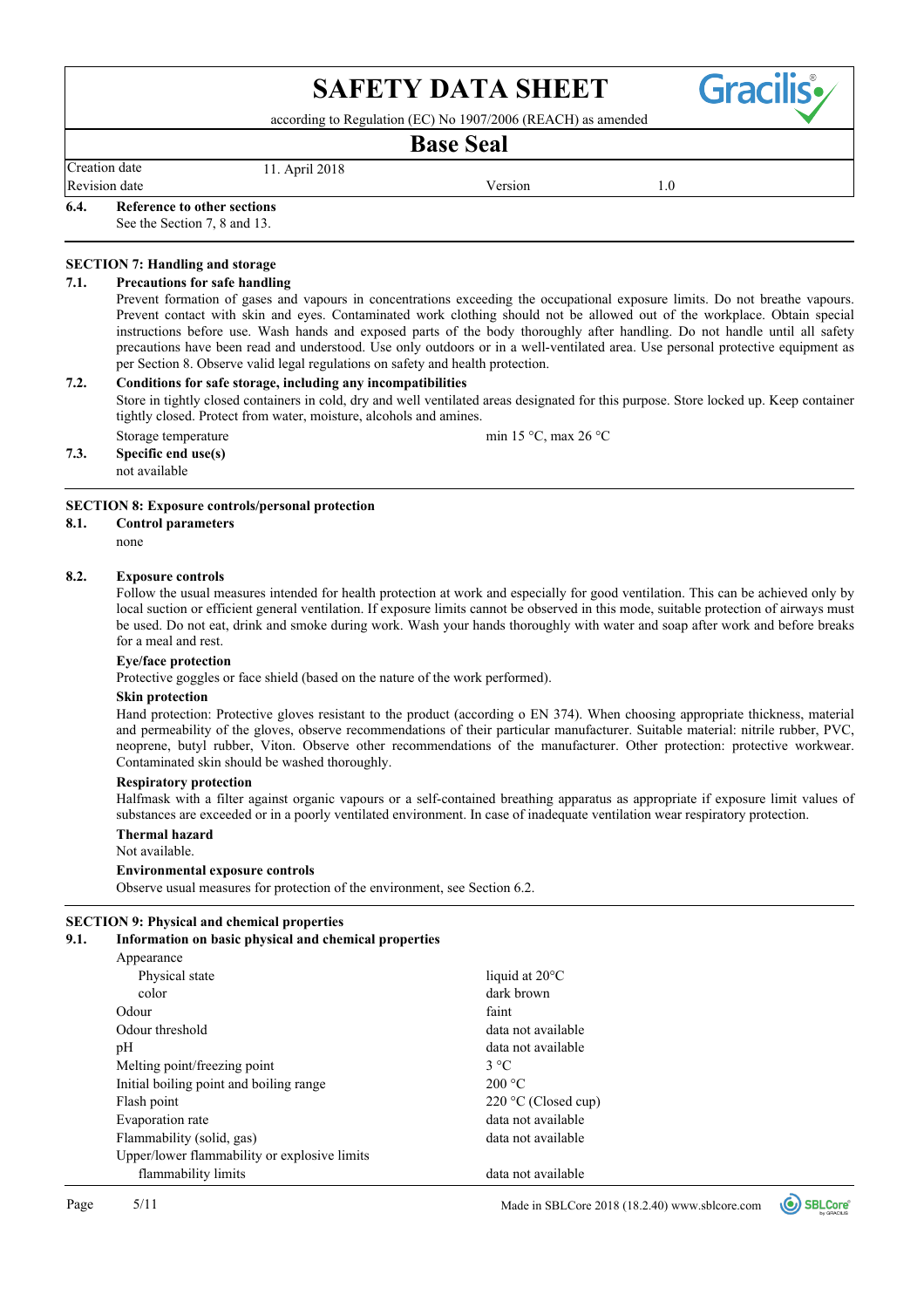according to Regulation (EC) No 1907/2006 (REACH) as amended

## **Base Seal**

Creation date 11. April 2018

Revision date and the Version of the Version of the Version of the Version of the Version of the Version of the Version of the Version of the Version of the Version of the Version of the Version of the Version of the Versi

Gracili

**6.4. Reference to other sections**

See the Section 7, 8 and 13.

#### **SECTION 7: Handling and storage**

#### **7.1. Precautions for safe handling**

Prevent formation of gases and vapours in concentrations exceeding the occupational exposure limits. Do not breathe vapours. Prevent contact with skin and eyes. Contaminated work clothing should not be allowed out of the workplace. Obtain special instructions before use. Wash hands and exposed parts of the body thoroughly after handling. Do not handle until all safety precautions have been read and understood. Use only outdoors or in a well-ventilated area. Use personal protective equipment as per Section 8. Observe valid legal regulations on safety and health protection.

#### **7.2. Conditions for safe storage, including any incompatibilities**

Store in tightly closed containers in cold, dry and well ventilated areas designated for this purpose. Store locked up. Keep container tightly closed. Protect from water, moisture, alcohols and amines.

**7.3. Specific end use(s)** Storage temperature min 15 °C, max 26 °C

not available

## **SECTION 8: Exposure controls/personal protection**

## **8.1. Control parameters**

none

## **8.2. Exposure controls**

Follow the usual measures intended for health protection at work and especially for good ventilation. This can be achieved only by local suction or efficient general ventilation. If exposure limits cannot be observed in this mode, suitable protection of airways must be used. Do not eat, drink and smoke during work. Wash your hands thoroughly with water and soap after work and before breaks for a meal and rest.

#### **Eye/face protection**

Protective goggles or face shield (based on the nature of the work performed).

## **Skin protection**

Hand protection: Protective gloves resistant to the product (according o EN 374). When choosing appropriate thickness, material and permeability of the gloves, observe recommendations of their particular manufacturer. Suitable material: nitrile rubber, PVC, neoprene, butyl rubber, Viton. Observe other recommendations of the manufacturer. Other protection: protective workwear. Contaminated skin should be washed thoroughly.

## **Respiratory protection**

Halfmask with a filter against organic vapours or a self-contained breathing apparatus as appropriate if exposure limit values of substances are exceeded or in a poorly ventilated environment. In case of inadequate ventilation wear respiratory protection.

## **Thermal hazard**

Not available.

**Environmental exposure controls**

Observe usual measures for protection of the environment, see Section 6.2.

#### **SECTION 9: Physical and chemical properties**

#### **9.1. Information on basic physical and chemical properties**

| Appearance                                   |                          |
|----------------------------------------------|--------------------------|
| Physical state                               | liquid at $20^{\circ}$ C |
| color                                        | dark brown               |
| Odour                                        | faint                    |
| Odour threshold                              | data not available       |
| pH                                           | data not available       |
| Melting point/freezing point                 | $3^{\circ}C$             |
| Initial boiling point and boiling range      | 200 °C                   |
| Flash point                                  | $220$ °C (Closed cup)    |
| Evaporation rate                             | data not available       |
| Flammability (solid, gas)                    | data not available       |
| Upper/lower flammability or explosive limits |                          |
| flammability limits                          | data not available       |

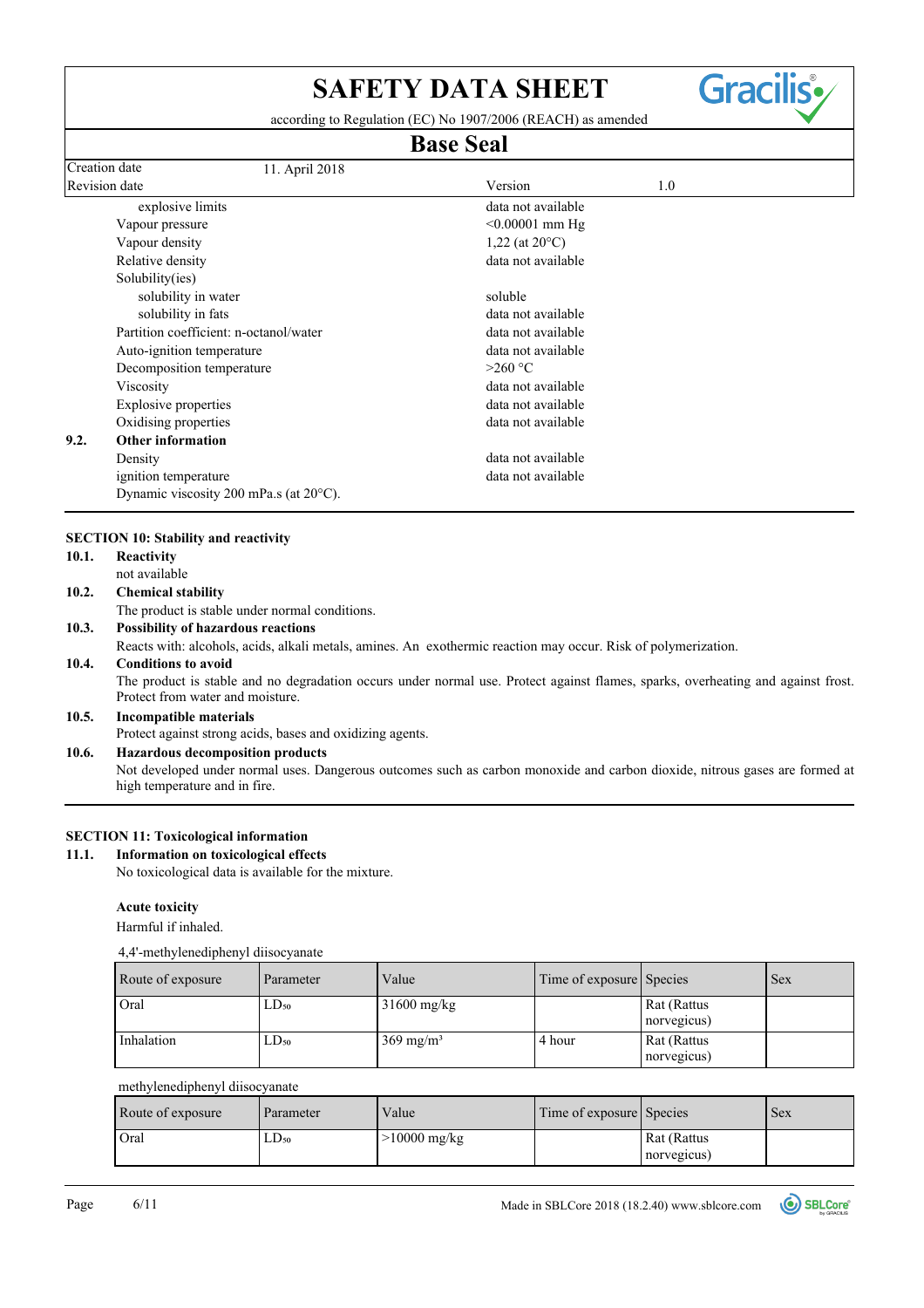according to Regulation (EC) No 1907/2006 (REACH) as amended

# **Base Seal**

| Creation date | 11. April 2018                                   |                          |
|---------------|--------------------------------------------------|--------------------------|
| Revision date |                                                  | Version<br>1.0           |
|               | explosive limits                                 | data not available       |
|               | Vapour pressure                                  | $< 0.00001$ mm Hg        |
|               | Vapour density                                   | 1,22 (at $20^{\circ}$ C) |
|               | Relative density                                 | data not available       |
|               | Solubility(ies)                                  |                          |
|               | solubility in water                              | soluble                  |
|               | solubility in fats                               | data not available       |
|               | Partition coefficient: n-octanol/water           | data not available       |
|               | Auto-ignition temperature                        | data not available       |
|               | Decomposition temperature                        | $>260$ °C                |
|               | Viscosity                                        | data not available       |
|               | <b>Explosive properties</b>                      | data not available       |
|               | Oxidising properties                             | data not available       |
| 9.2.          | Other information                                |                          |
|               | Density                                          | data not available       |
|               | ignition temperature                             | data not available       |
|               | Dynamic viscosity 200 mPa.s (at $20^{\circ}$ C). |                          |

## **SECTION 10: Stability and reactivity**

| 10.1. | Reactivity                                                                                                                                                           |
|-------|----------------------------------------------------------------------------------------------------------------------------------------------------------------------|
|       | not available                                                                                                                                                        |
| 10.2. | <b>Chemical stability</b>                                                                                                                                            |
|       | The product is stable under normal conditions.                                                                                                                       |
| 10.3. | <b>Possibility of hazardous reactions</b>                                                                                                                            |
|       | Reacts with: alcohols, acids, alkali metals, amines. An exothermic reaction may occur. Risk of polymerization.                                                       |
| 10.4. | <b>Conditions to avoid</b>                                                                                                                                           |
|       | The product is stable and no degradation occurs under normal use. Protect against flames, sparks, overheating and against frost.<br>Protect from water and moisture. |
| 10.5. | Incompatible materials                                                                                                                                               |
|       | Protect against strong acids, bases and oxidizing agents.                                                                                                            |
| 10.6. | <b>Hazardous decomposition products</b>                                                                                                                              |
|       | Not developed under normal uses. Dangerous outcomes such as carbon monoxide and carbon dioxide, nitrous gases are formed at<br>high temperature and in fire.         |

## **SECTION 11: Toxicological information**

## **11.1. Information on toxicological effects**

No toxicological data is available for the mixture.

## **Acute toxicity**

Harmful if inhaled.

## 4,4'-methylenediphenyl diisocyanate

| Route of exposure | Parameter | Value                | Time of exposure Species |                            | <b>Sex</b> |
|-------------------|-----------|----------------------|--------------------------|----------------------------|------------|
| Oral              | $LD_{50}$ | $31600$ mg/kg        |                          | Rat (Rattus<br>norvegicus) |            |
| Inhalation        | $LD_{50}$ | $369 \text{ mg/m}^3$ | 4 hour                   | Rat (Rattus<br>norvegicus) |            |

## methylenediphenyl diisocyanate

| Route of exposure | Parameter | Value          | Time of exposure Species |                            | Sex |
|-------------------|-----------|----------------|--------------------------|----------------------------|-----|
| Oral              | $LD_{50}$ | $>10000$ mg/kg |                          | Rat (Rattus<br>norvegicus) |     |



**Gracilis**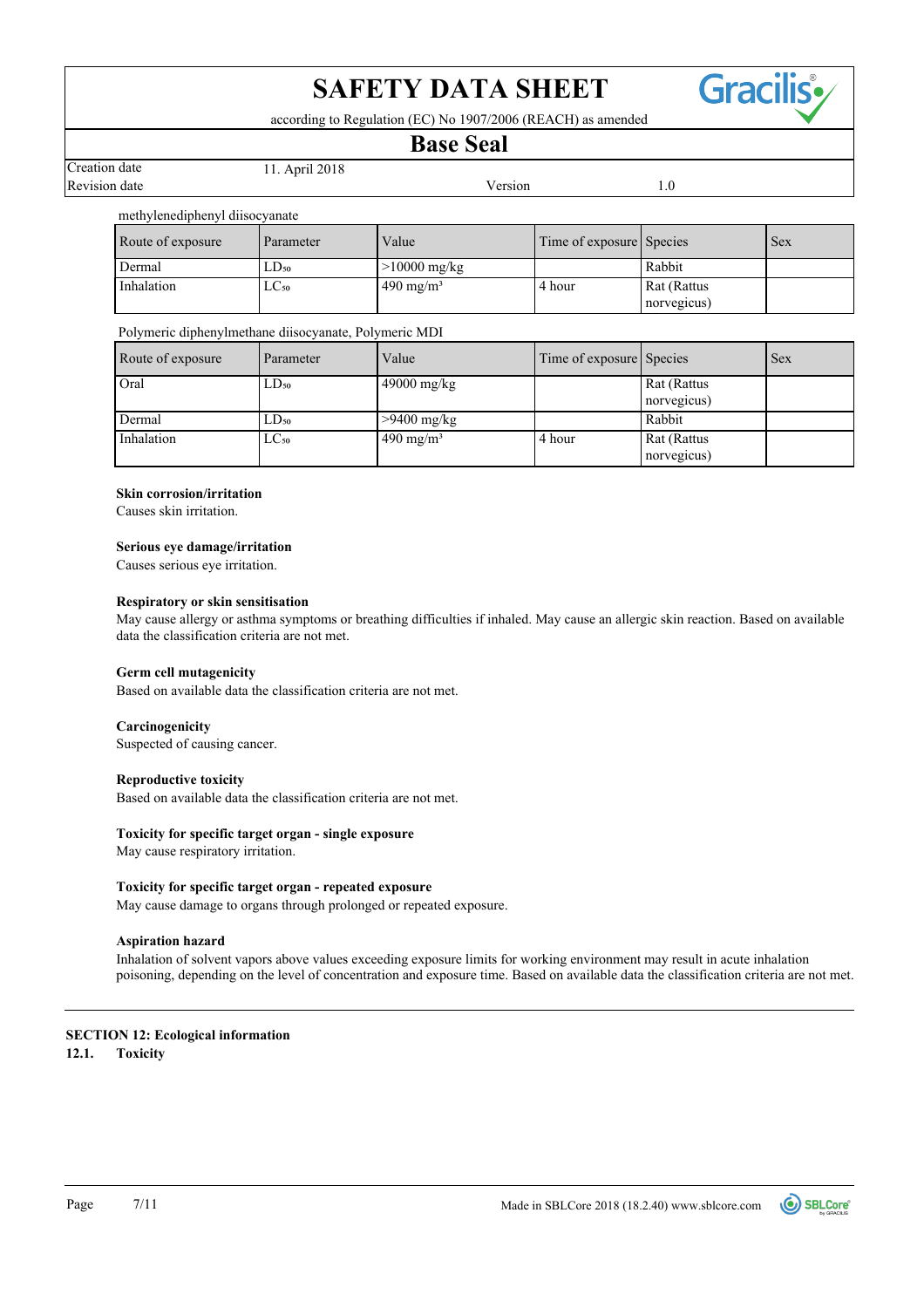

according to Regulation (EC) No 1907/2006 (REACH) as amended

## **Base Seal**

Revision date **Version** 1.0 Creation date 11. April 2018

## methylenediphenyl diisocyanate

| Route of exposure | Parameter     | Value                 | Time of exposure Species |                            | <b>Sex</b> |
|-------------------|---------------|-----------------------|--------------------------|----------------------------|------------|
| Dermal            | $LD_{50}$     | $>10000$ mg/kg        |                          | Rabbit                     |            |
| Inhalation        | $_{\rm LCso}$ | $1490 \text{ mg/m}^3$ | 4 hour                   | Rat (Rattus<br>norvegicus) |            |

## Polymeric diphenylmethane diisocyanate, Polymeric MDI

| Route of exposure | Parameter | Value                | Time of exposure Species |             | <b>Sex</b> |
|-------------------|-----------|----------------------|--------------------------|-------------|------------|
| Oral              | $LD_{50}$ | $49000$ mg/kg        |                          | Rat (Rattus |            |
|                   |           |                      |                          | norvegicus) |            |
| Dermal            | $LD_{50}$ | $>9400$ mg/kg        |                          | Rabbit      |            |
| Inhalation        | $LC_{50}$ | $490 \text{ mg/m}^3$ | 4 hour                   | Rat (Rattus |            |
|                   |           |                      |                          | norvegicus) |            |

## **Skin corrosion/irritation**

Causes skin irritation.

## **Serious eye damage/irritation**

Causes serious eye irritation.

## **Respiratory or skin sensitisation**

May cause allergy or asthma symptoms or breathing difficulties if inhaled. May cause an allergic skin reaction. Based on available data the classification criteria are not met.

## **Germ cell mutagenicity**

Based on available data the classification criteria are not met.

## **Carcinogenicity**

Suspected of causing cancer.

## **Reproductive toxicity**

Based on available data the classification criteria are not met.

## **Toxicity for specific target organ - single exposure**

May cause respiratory irritation.

## **Toxicity for specific target organ - repeated exposure**

May cause damage to organs through prolonged or repeated exposure.

## **Aspiration hazard**

Inhalation of solvent vapors above values exceeding exposure limits for working environment may result in acute inhalation poisoning, depending on the level of concentration and exposure time. Based on available data the classification criteria are not met.

## **SECTION 12: Ecological information**

**12.1. Toxicity**

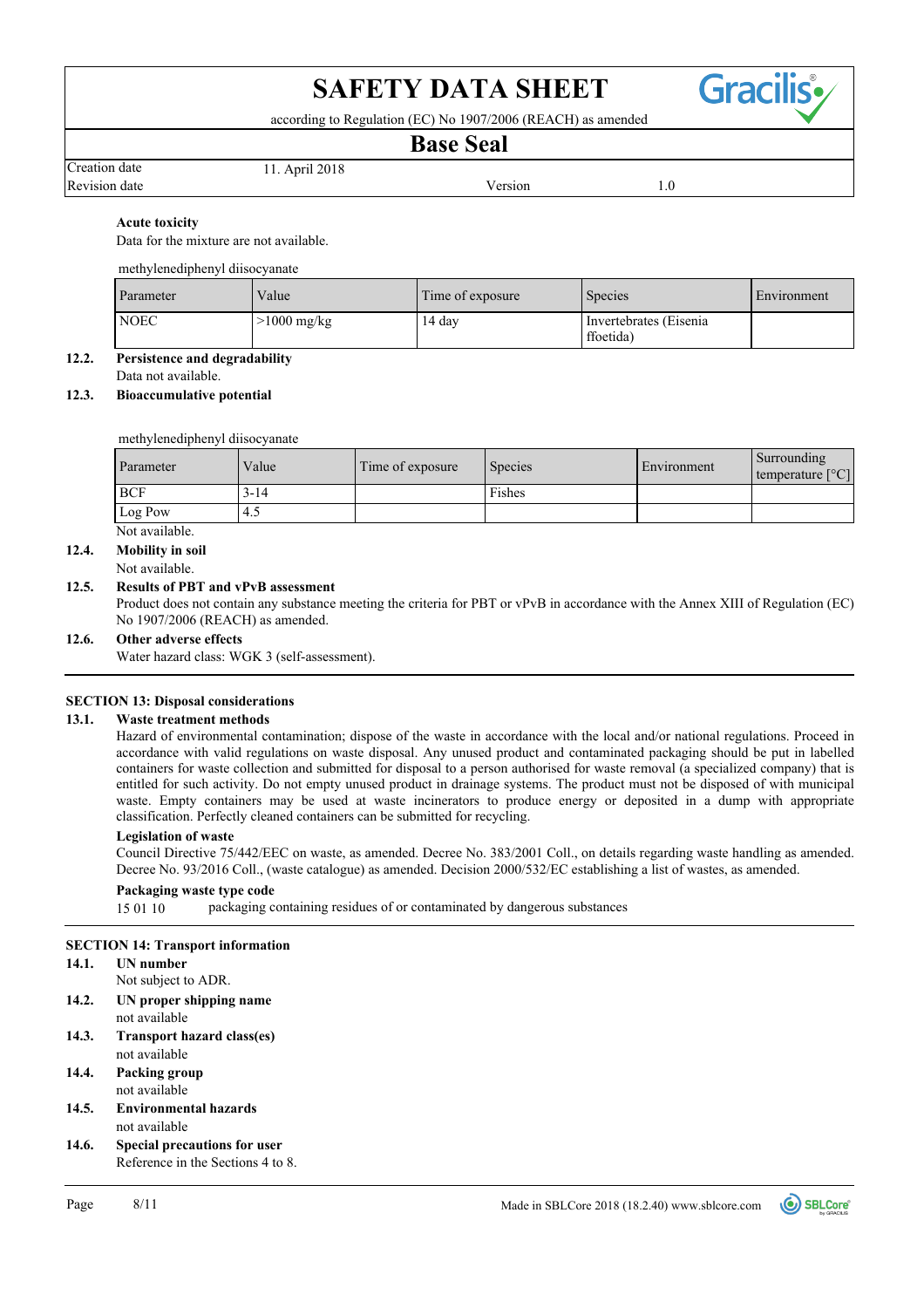

according to Regulation (EC) No 1907/2006 (REACH) as amended

## **Base Seal**

Revision date and the version of the Version of the Version of the Version of the Version of the Version of the Version of the Version of the Version of the Version of the Version of the Version of the Version of the Versi Creation date 11. April 2018

## **Acute toxicity**

Data for the mixture are not available.

## methylenediphenyl diisocyanate

| Parameter   | Value       | Time of exposure | <b>Species</b>                       | Environment |
|-------------|-------------|------------------|--------------------------------------|-------------|
| <b>NOEC</b> | >1000 mg/kg | 14 day           | Invertebrates (Eisenia)<br>ffoetida) |             |

## **12.2. Persistence and degradability**

Data not available.

## **12.3. Bioaccumulative potential**

methylenediphenyl diisocyanate

| Parameter  | Value    | Time of exposure | Species | Environment | Surrounding<br>temperature $[^{\circ}C]$ |
|------------|----------|------------------|---------|-------------|------------------------------------------|
| <b>BCF</b> | $3 - 14$ |                  | Fishes  |             |                                          |
| Log Pow    | 4.5      |                  |         |             |                                          |

Not available.

## **12.4. Mobility in soil**

Not available.

## **12.5. Results of PBT and vPvB assessment**

Product does not contain any substance meeting the criteria for PBT or vPvB in accordance with the Annex XIII of Regulation (EC) No 1907/2006 (REACH) as amended.

#### **12.6. Other adverse effects**

Water hazard class: WGK 3 (self-assessment).

## **SECTION 13: Disposal considerations**

## **13.1. Waste treatment methods**

Hazard of environmental contamination; dispose of the waste in accordance with the local and/or national regulations. Proceed in accordance with valid regulations on waste disposal. Any unused product and contaminated packaging should be put in labelled containers for waste collection and submitted for disposal to a person authorised for waste removal (a specialized company) that is entitled for such activity. Do not empty unused product in drainage systems. The product must not be disposed of with municipal waste. Empty containers may be used at waste incinerators to produce energy or deposited in a dump with appropriate classification. Perfectly cleaned containers can be submitted for recycling.

## **Legislation of waste**

Council Directive 75/442/EEC on waste, as amended. Decree No. 383/2001 Coll., on details regarding waste handling as amended. Decree No. 93/2016 Coll., (waste catalogue) as amended. Decision 2000/532/EC establishing a list of wastes, as amended.

## **Packaging waste type code**

15 01 10 packaging containing residues of or contaminated by dangerous substances

## **SECTION 14: Transport information**

## **14.1. UN number**

Not subject to ADR.

- not available **14.2. UN proper shipping name**
- not available **14.3. Transport hazard class(es)**
- not available **14.4. Packing group**
- not available **14.5. Environmental hazards**
- Reference in the Sections 4 to 8. **14.6. Special precautions for user**

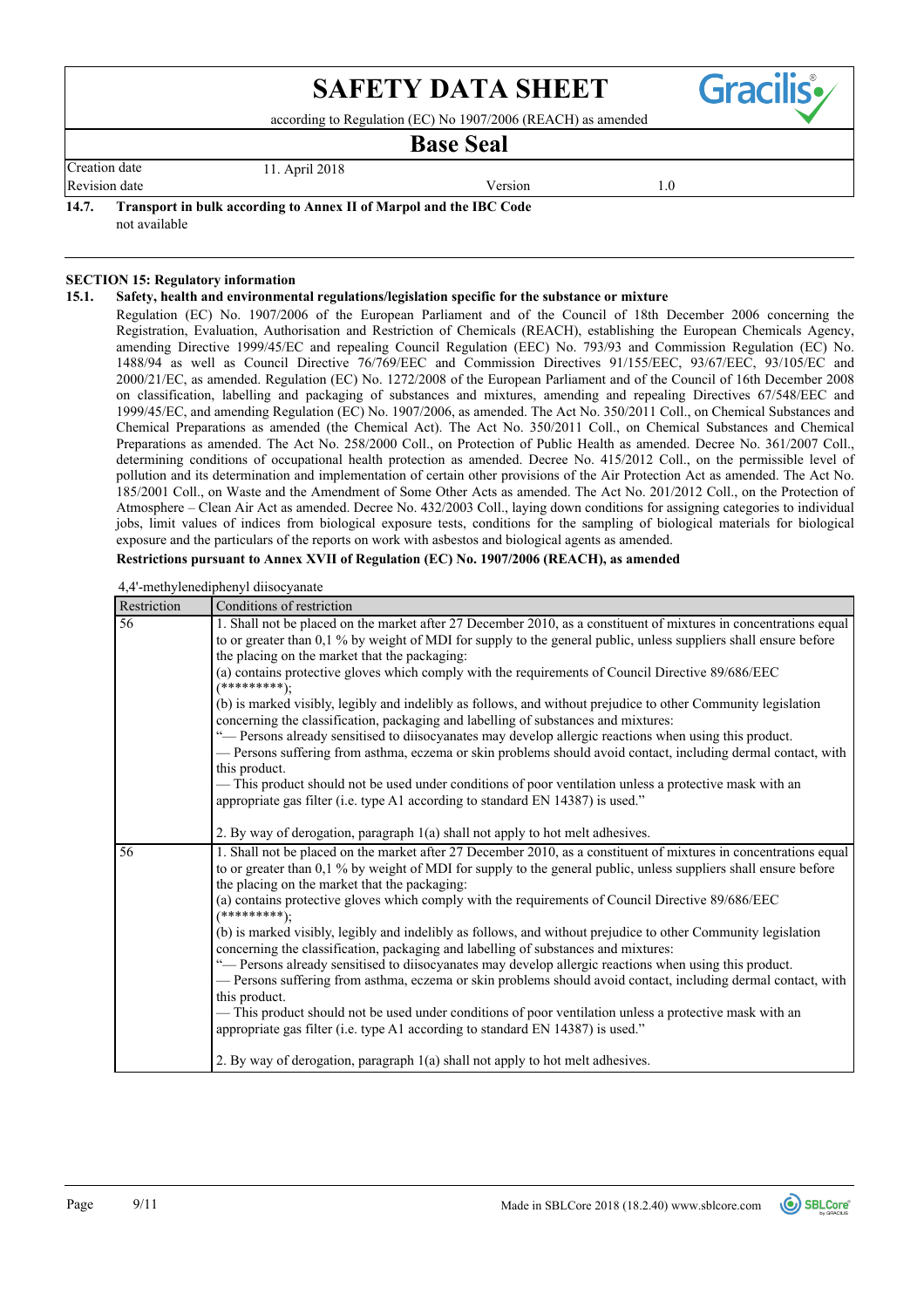according to Regulation (EC) No 1907/2006 (REACH) as amended

## **Base Seal**

Revision date **Version** 1.0 Creation date 11. April 2018

**Gracilis** 

## **14.7. Transport in bulk according to Annex II of Marpol and the IBC Code**

not available

## **SECTION 15: Regulatory information**

## **15.1. Safety, health and environmental regulations/legislation specific for the substance or mixture**

Regulation (EC) No. 1907/2006 of the European Parliament and of the Council of 18th December 2006 concerning the Registration, Evaluation, Authorisation and Restriction of Chemicals (REACH), establishing the European Chemicals Agency, amending Directive 1999/45/EC and repealing Council Regulation (EEC) No. 793/93 and Commission Regulation (EC) No. 1488/94 as well as Council Directive 76/769/EEC and Commission Directives 91/155/EEC, 93/67/EEC, 93/105/EC and 2000/21/EC, as amended. Regulation (EC) No. 1272/2008 of the European Parliament and of the Council of 16th December 2008 on classification, labelling and packaging of substances and mixtures, amending and repealing Directives 67/548/EEC and 1999/45/EC, and amending Regulation (EC) No. 1907/2006, as amended. The Act No. 350/2011 Coll., on Chemical Substances and Chemical Preparations as amended (the Chemical Act). The Act No. 350/2011 Coll., on Chemical Substances and Chemical Preparations as amended. The Act No. 258/2000 Coll., on Protection of Public Health as amended. Decree No. 361/2007 Coll., determining conditions of occupational health protection as amended. Decree No. 415/2012 Coll., on the permissible level of pollution and its determination and implementation of certain other provisions of the Air Protection Act as amended. The Act No. 185/2001 Coll., on Waste and the Amendment of Some Other Acts as amended. The Act No. 201/2012 Coll., on the Protection of Atmosphere – Clean Air Act as amended. Decree No. 432/2003 Coll., laying down conditions for assigning categories to individual jobs, limit values of indices from biological exposure tests, conditions for the sampling of biological materials for biological exposure and the particulars of the reports on work with asbestos and biological agents as amended.

## **Restrictions pursuant to Annex XVII of Regulation (EC) No. 1907/2006 (REACH), as amended**

#### 4,4'-methylenediphenyl diisocyanate

| Restriction | Conditions of restriction                                                                                                                                                                                                                                                                                                                                                                   |
|-------------|---------------------------------------------------------------------------------------------------------------------------------------------------------------------------------------------------------------------------------------------------------------------------------------------------------------------------------------------------------------------------------------------|
| 56          | 1. Shall not be placed on the market after 27 December 2010, as a constituent of mixtures in concentrations equal<br>to or greater than 0,1 % by weight of MDI for supply to the general public, unless suppliers shall ensure before<br>the placing on the market that the packaging:<br>(a) contains protective gloves which comply with the requirements of Council Directive 89/686/EEC |
|             | $(**********)$                                                                                                                                                                                                                                                                                                                                                                              |
|             | (b) is marked visibly, legibly and indelibly as follows, and without prejudice to other Community legislation<br>concerning the classification, packaging and labelling of substances and mixtures:                                                                                                                                                                                         |
|             | "- Persons already sensitised to diisocyanates may develop allergic reactions when using this product.<br>- Persons suffering from asthma, eczema or skin problems should avoid contact, including dermal contact, with<br>this product.                                                                                                                                                    |
|             | - This product should not be used under conditions of poor ventilation unless a protective mask with an<br>appropriate gas filter (i.e. type A1 according to standard EN 14387) is used."                                                                                                                                                                                                   |
|             | 2. By way of derogation, paragraph 1(a) shall not apply to hot melt adhesives.                                                                                                                                                                                                                                                                                                              |
| 56          | 1. Shall not be placed on the market after 27 December 2010, as a constituent of mixtures in concentrations equal<br>to or greater than 0,1 % by weight of MDI for supply to the general public, unless suppliers shall ensure before<br>the placing on the market that the packaging:                                                                                                      |
|             | (a) contains protective gloves which comply with the requirements of Council Directive 89/686/EEC<br>$(********);$                                                                                                                                                                                                                                                                          |
|             | (b) is marked visibly, legibly and indelibly as follows, and without prejudice to other Community legislation<br>concerning the classification, packaging and labelling of substances and mixtures:                                                                                                                                                                                         |
|             | "— Persons already sensitised to diisocyanates may develop allergic reactions when using this product.<br>- Persons suffering from asthma, eczema or skin problems should avoid contact, including dermal contact, with                                                                                                                                                                     |
|             | this product.                                                                                                                                                                                                                                                                                                                                                                               |
|             | -This product should not be used under conditions of poor ventilation unless a protective mask with an<br>appropriate gas filter (i.e. type A1 according to standard EN 14387) is used."                                                                                                                                                                                                    |
|             | 2. By way of derogation, paragraph 1(a) shall not apply to hot melt adhesives.                                                                                                                                                                                                                                                                                                              |

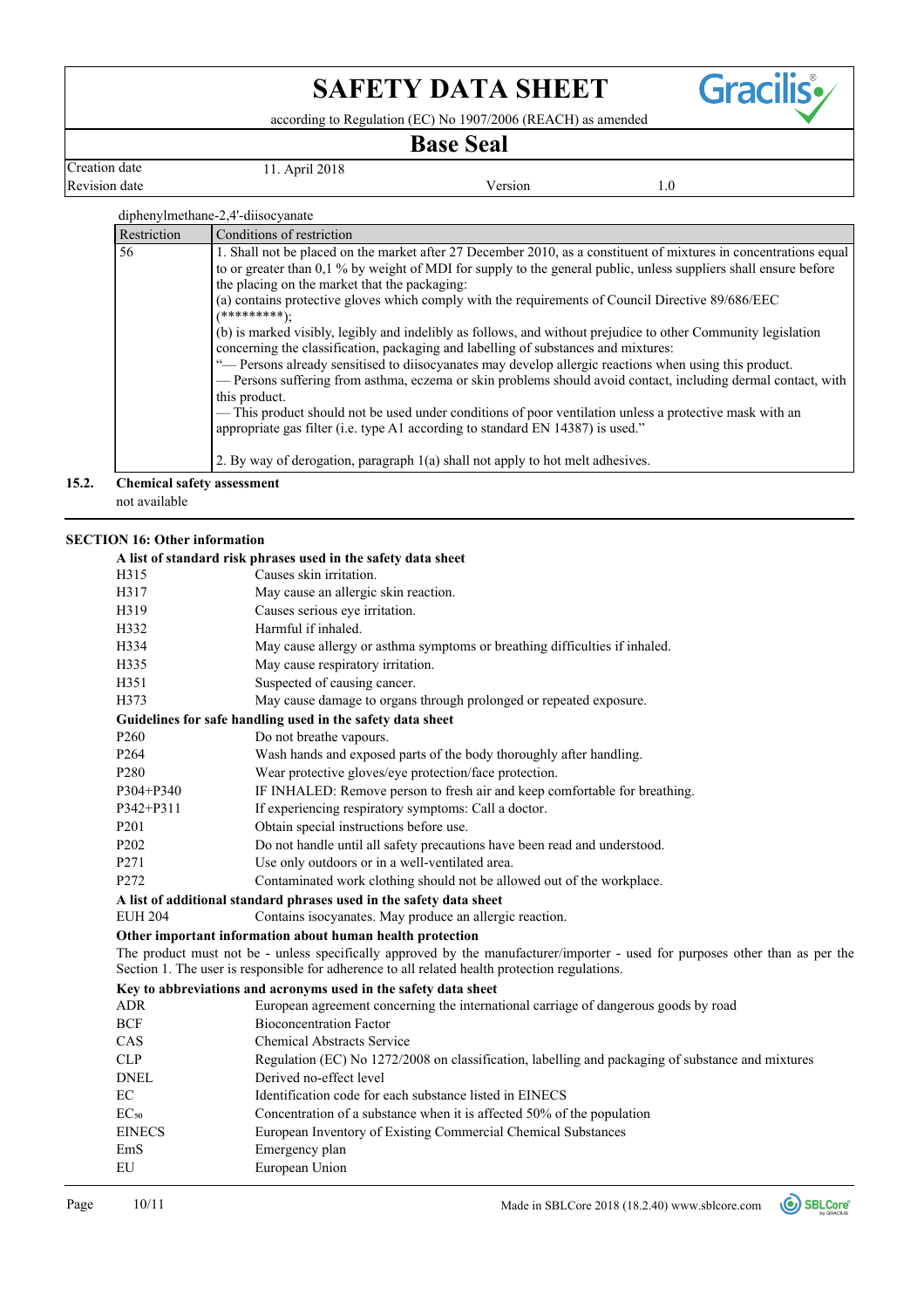according to Regulation (EC) No 1907/2006 (REACH) as amended

## **Base Seal**

Revision date and the Version of the Version of the Version of the Version of the Version of the Version of the Version of the Version of the Version of the Version of the Version of the Version of the Version of the Versi Creation date 11. April 2018

**Gracilis** 

| Restriction |
|-------------|
| 56          |

not available

## **SECTION 16: Other information**

|                  | A list of standard risk phrases used in the safety data sheet                                                                                                                                                                   |
|------------------|---------------------------------------------------------------------------------------------------------------------------------------------------------------------------------------------------------------------------------|
| H315             | Causes skin irritation.                                                                                                                                                                                                         |
| H317             | May cause an allergic skin reaction.                                                                                                                                                                                            |
| H319             | Causes serious eye irritation.                                                                                                                                                                                                  |
| H332             | Harmful if inhaled.                                                                                                                                                                                                             |
| H334             | May cause allergy or asthma symptoms or breathing difficulties if inhaled.                                                                                                                                                      |
| H335             | May cause respiratory irritation.                                                                                                                                                                                               |
| H351             | Suspected of causing cancer.                                                                                                                                                                                                    |
| H373             | May cause damage to organs through prolonged or repeated exposure.                                                                                                                                                              |
|                  | Guidelines for safe handling used in the safety data sheet                                                                                                                                                                      |
| P <sub>260</sub> | Do not breathe vapours.                                                                                                                                                                                                         |
| P <sub>264</sub> | Wash hands and exposed parts of the body thoroughly after handling.                                                                                                                                                             |
| P <sub>280</sub> | Wear protective gloves/eye protection/face protection.                                                                                                                                                                          |
| P304+P340        | IF INHALED: Remove person to fresh air and keep comfortable for breathing.                                                                                                                                                      |
| P342+P311        | If experiencing respiratory symptoms: Call a doctor.                                                                                                                                                                            |
| P <sub>201</sub> | Obtain special instructions before use.                                                                                                                                                                                         |
| P202             | Do not handle until all safety precautions have been read and understood.                                                                                                                                                       |
| P271             | Use only outdoors or in a well-ventilated area.                                                                                                                                                                                 |
| P272             | Contaminated work clothing should not be allowed out of the workplace.                                                                                                                                                          |
|                  | A list of additional standard phrases used in the safety data sheet                                                                                                                                                             |
| <b>EUH 204</b>   | Contains isocyanates. May produce an allergic reaction.                                                                                                                                                                         |
|                  | Other important information about human health protection                                                                                                                                                                       |
|                  | The product must not be - unless specifically approved by the manufacturer/importer - used for purposes other than as per the<br>Section 1. The user is responsible for adherence to all related health protection regulations. |
|                  | Key to abbreviations and acronyms used in the safety data sheet                                                                                                                                                                 |
| ADR              | European agreement concerning the international carriage of dangerous goods by road                                                                                                                                             |
| <b>BCF</b>       | <b>Bioconcentration Factor</b>                                                                                                                                                                                                  |
| CAS              | <b>Chemical Abstracts Service</b>                                                                                                                                                                                               |
| <b>CLP</b>       | Regulation (EC) No 1272/2008 on classification, labelling and packaging of substance and mixtures                                                                                                                               |
| <b>DNEL</b>      | Derived no-effect level                                                                                                                                                                                                         |
| EC               | Identification code for each substance listed in EINECS                                                                                                                                                                         |
| EC <sub>50</sub> | Concentration of a substance when it is affected 50% of the population                                                                                                                                                          |
| <b>EINECS</b>    | European Inventory of Existing Commercial Chemical Substances                                                                                                                                                                   |
| EmS              | Emergency plan                                                                                                                                                                                                                  |
| EU               | European Union                                                                                                                                                                                                                  |
|                  |                                                                                                                                                                                                                                 |